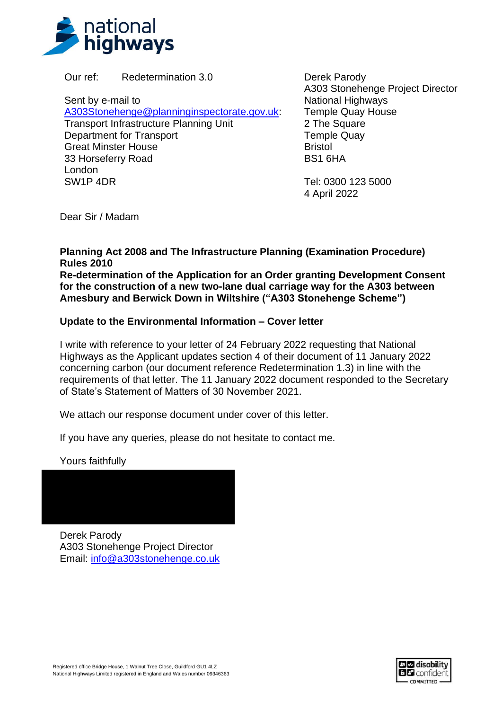

Our ref: Redetermination 3.0

Sent by e-mail to

[A303Stonehenge@planninginspectorate.gov.uk:](mailto:A303Stonehenge@planninginspectorate.gov.uk) Transport Infrastructure Planning Unit Department for Transport Great Minster House 33 Horseferry Road London SW1P 4DR

Derek Parody A303 Stonehenge Project Director National Highways Temple Quay House 2 The Square Temple Quay **Bristol** BS1 6HA

Tel: 0300 123 5000 4 April 2022

Dear Sir / Madam

**Planning Act 2008 and The Infrastructure Planning (Examination Procedure) Rules 2010**

**Re-determination of the Application for an Order granting Development Consent for the construction of a new two-lane dual carriage way for the A303 between Amesbury and Berwick Down in Wiltshire ("A303 Stonehenge Scheme")**

## **Update to the Environmental Information – Cover letter**

I write with reference to your letter of 24 February 2022 requesting that National Highways as the Applicant updates section 4 of their document of 11 January 2022 concerning carbon (our document reference Redetermination 1.3) in line with the requirements of that letter. The 11 January 2022 document responded to the Secretary of State's Statement of Matters of 30 November 2021.

We attach our response document under cover of this letter.

If you have any queries, please do not hesitate to contact me.

Yours faithfully

Derek Parody A303 Stonehenge Project Director Email: [info@a303stonehenge.co.uk](mailto:info@a303stonehenge.co.uk)

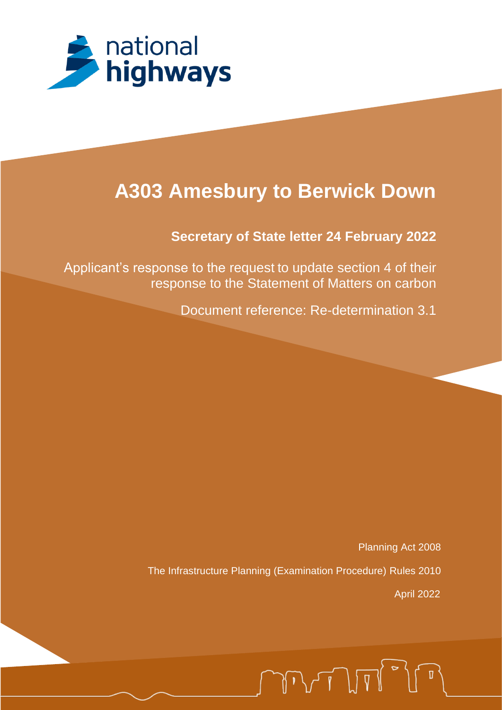

# **A303 Amesbury to Berwick Down**

## **Secretary of State letter 24 February 2022**

Applicant's response to the request to update section 4 of their response to the Statement of Matters on carbon

Document reference: Re-determination 3.1

Planning Act 2008 The Infrastructure Planning (Examination Procedure) Rules 2010 April 2022

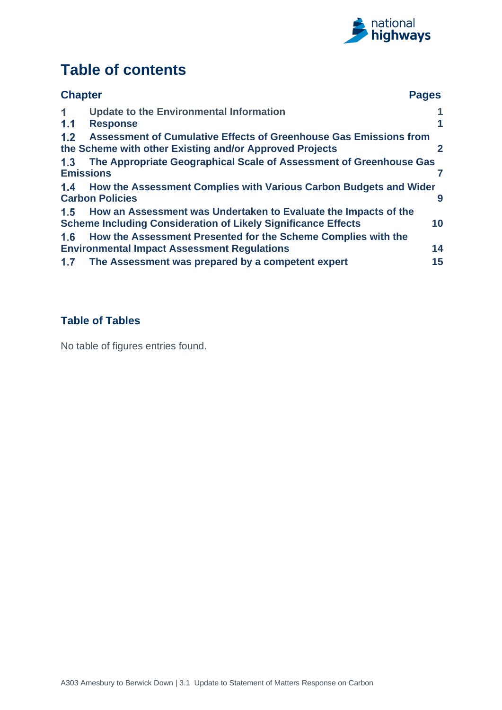

## **Table of contents**

| <b>Chapter</b>   |                                                                                                                                         | <b>Pages</b>         |
|------------------|-----------------------------------------------------------------------------------------------------------------------------------------|----------------------|
| 1                | <b>Update to the Environmental Information</b>                                                                                          |                      |
| 1.1              | <b>Response</b>                                                                                                                         | $\blacktriangleleft$ |
| 1.2              | <b>Assessment of Cumulative Effects of Greenhouse Gas Emissions from</b><br>the Scheme with other Existing and/or Approved Projects     | 2                    |
| 1.3              | The Appropriate Geographical Scale of Assessment of Greenhouse Gas                                                                      |                      |
| <b>Emissions</b> |                                                                                                                                         |                      |
| 1.4              | How the Assessment Complies with Various Carbon Budgets and Wider<br><b>Carbon Policies</b>                                             | 9                    |
| 1.5              | How an Assessment was Undertaken to Evaluate the Impacts of the<br><b>Scheme Including Consideration of Likely Significance Effects</b> | 10                   |
| 1.6              | How the Assessment Presented for the Scheme Complies with the                                                                           |                      |
|                  | <b>Environmental Impact Assessment Regulations</b>                                                                                      | 14                   |
| 1.7              | The Assessment was prepared by a competent expert                                                                                       | 15                   |

## **Table of Tables**

No table of figures entries found.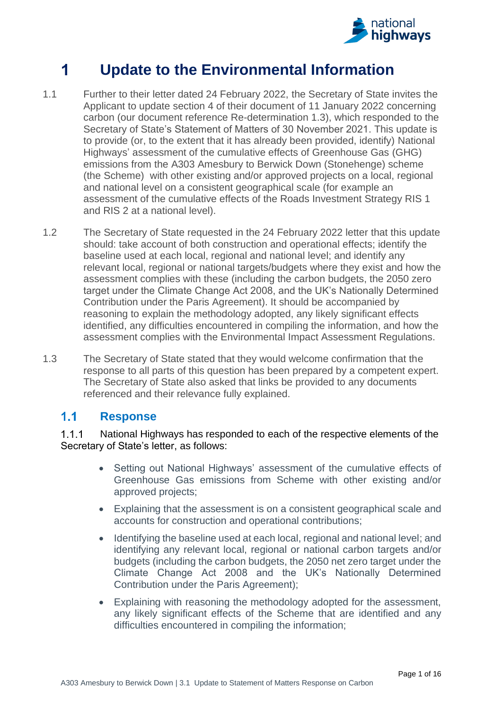

#### <span id="page-3-0"></span>1 **Update to the Environmental Information**

- 1.1 Further to their letter dated 24 February 2022, the Secretary of State invites the Applicant to update section 4 of their document of 11 January 2022 concerning carbon (our document reference Re-determination 1.3), which responded to the Secretary of State's Statement of Matters of 30 November 2021. This update is to provide (or, to the extent that it has already been provided, identify) National Highways' assessment of the cumulative effects of Greenhouse Gas (GHG) emissions from the A303 Amesbury to Berwick Down (Stonehenge) scheme (the Scheme) with other existing and/or approved projects on a local, regional and national level on a consistent geographical scale (for example an assessment of the cumulative effects of the Roads Investment Strategy RIS 1 and RIS 2 at a national level).
- 1.2 The Secretary of State requested in the 24 February 2022 letter that this update should: take account of both construction and operational effects; identify the baseline used at each local, regional and national level; and identify any relevant local, regional or national targets/budgets where they exist and how the assessment complies with these (including the carbon budgets, the 2050 zero target under the Climate Change Act 2008, and the UK's Nationally Determined Contribution under the Paris Agreement). It should be accompanied by reasoning to explain the methodology adopted, any likely significant effects identified, any difficulties encountered in compiling the information, and how the assessment complies with the Environmental Impact Assessment Regulations.
- 1.3 The Secretary of State stated that they would welcome confirmation that the response to all parts of this question has been prepared by a competent expert. The Secretary of State also asked that links be provided to any documents referenced and their relevance fully explained.

#### <span id="page-3-1"></span> $1.1$ **Response**

#### $1.1.1$ National Highways has responded to each of the respective elements of the Secretary of State's letter, as follows:

- Setting out National Highways' assessment of the cumulative effects of Greenhouse Gas emissions from Scheme with other existing and/or approved projects;
- Explaining that the assessment is on a consistent geographical scale and accounts for construction and operational contributions;
- Identifying the baseline used at each local, regional and national level; and identifying any relevant local, regional or national carbon targets and/or budgets (including the carbon budgets, the 2050 net zero target under the Climate Change Act 2008 and the UK's Nationally Determined Contribution under the Paris Agreement);
- Explaining with reasoning the methodology adopted for the assessment, any likely significant effects of the Scheme that are identified and any difficulties encountered in compiling the information;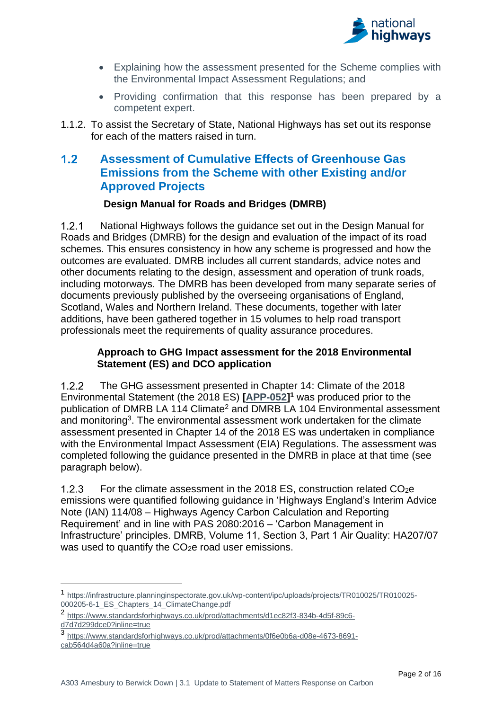

- Explaining how the assessment presented for the Scheme complies with the Environmental Impact Assessment Regulations; and
- Providing confirmation that this response has been prepared by a competent expert.
- 1.1.2. To assist the Secretary of State, National Highways has set out its response for each of the matters raised in turn.

#### <span id="page-4-0"></span> $1.2$ **Assessment of Cumulative Effects of Greenhouse Gas Emissions from the Scheme with other Existing and/or Approved Projects**

## **Design Manual for Roads and Bridges (DMRB)**

 $1.2.1$ National Highways follows the guidance set out in the Design Manual for Roads and Bridges (DMRB) for the design and evaluation of the impact of its road schemes. This ensures consistency in how any scheme is progressed and how the outcomes are evaluated. DMRB includes all current standards, advice notes and other documents relating to the design, assessment and operation of trunk roads, including motorways. The DMRB has been developed from many separate series of documents previously published by the overseeing organisations of England, Scotland, Wales and Northern Ireland. These documents, together with later additions, have been gathered together in 15 volumes to help road transport professionals meet the requirements of quality assurance procedures.

### **Approach to GHG Impact assessment for the 2018 Environmental Statement (ES) and DCO application**

 $1.2.2$ The GHG assessment presented in Chapter 14: Climate of the 2018 Environmental Statement (the 2018 ES) **[\[APP-052\]](https://infrastructure.planninginspectorate.gov.uk/wp-content/ipc/uploads/projects/TR010025/TR010025-000205-6-1_ES_Chapters_14_ClimateChange.pdf) <sup>1</sup>** was produced prior to the publication of DMRB LA 114 Climate<sup>2</sup> and DMRB LA 104 Environmental assessment and monitoring<sup>3</sup>. The environmental assessment work undertaken for the climate assessment presented in Chapter 14 of the 2018 ES was undertaken in compliance with the Environmental Impact Assessment (EIA) Regulations. The assessment was completed following the guidance presented in the DMRB in place at that time (see paragraph below).

 $1.2.3$ For the climate assessment in the 2018 ES, construction related CO2e emissions were quantified following guidance in 'Highways England's Interim Advice Note (IAN) 114/08 – Highways Agency Carbon Calculation and Reporting Requirement' and in line with PAS 2080:2016 – 'Carbon Management in Infrastructure' principles. DMRB, Volume 11, Section 3, Part 1 Air Quality: HA207/07 was used to quantify the CO<sub>2</sub>e road user emissions.

<sup>1</sup> [https://infrastructure.planninginspectorate.gov.uk/wp-content/ipc/uploads/projects/TR010025/TR010025-](https://infrastructure.planninginspectorate.gov.uk/wp-content/ipc/uploads/projects/TR010025/TR010025-000205-6-1_ES_Chapters_14_ClimateChange.pdf) [000205-6-1\\_ES\\_Chapters\\_14\\_ClimateChange.pdf](https://infrastructure.planninginspectorate.gov.uk/wp-content/ipc/uploads/projects/TR010025/TR010025-000205-6-1_ES_Chapters_14_ClimateChange.pdf)

<sup>2</sup> [https://www.standardsforhighways.co.uk/prod/attachments/d1ec82f3-834b-4d5f-89c6](https://www.standardsforhighways.co.uk/prod/attachments/d1ec82f3-834b-4d5f-89c6-d7d7d299dce0?inline=true) [d7d7d299dce0?inline=true](https://www.standardsforhighways.co.uk/prod/attachments/d1ec82f3-834b-4d5f-89c6-d7d7d299dce0?inline=true)

<sup>3</sup> [https://www.standardsforhighways.co.uk/prod/attachments/0f6e0b6a-d08e-4673-8691](https://www.standardsforhighways.co.uk/prod/attachments/0f6e0b6a-d08e-4673-8691-cab564d4a60a?inline=true) [cab564d4a60a?inline=true](https://www.standardsforhighways.co.uk/prod/attachments/0f6e0b6a-d08e-4673-8691-cab564d4a60a?inline=true)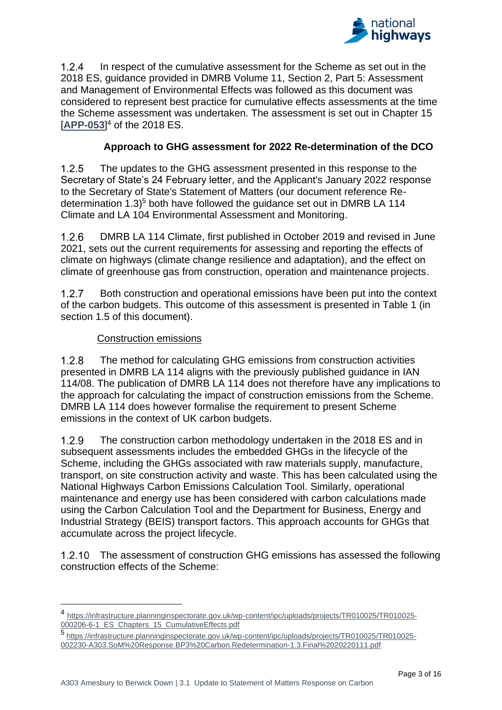

 $1.2.4$ In respect of the cumulative assessment for the Scheme as set out in the 2018 ES, guidance provided in DMRB Volume 11, Section 2, Part 5: Assessment and Management of Environmental Effects was followed as this document was considered to represent best practice for cumulative effects assessments at the time the Scheme assessment was undertaken. The assessment is set out in Chapter 15 [**[APP-053](https://infrastructure.planninginspectorate.gov.uk/wp-content/ipc/uploads/projects/TR010025/TR010025-000206-6-1_ES_Chapters_15_CumulativeEffects.pdf)**] <sup>4</sup> of the 2018 ES.

## **Approach to GHG assessment for 2022 Re-determination of the DCO**

 $1.2.5$ The updates to the GHG assessment presented in this response to the Secretary of State's 24 February letter, and the Applicant's January 2022 response to the Secretary of State's Statement of Matters (our document reference Redetermination 1.3)<sup>5</sup> both have followed the quidance set out in DMRB LA 114 Climate and LA 104 Environmental Assessment and Monitoring.

 $126$ DMRB LA 114 Climate, first published in October 2019 and revised in June 2021, sets out the current requirements for assessing and reporting the effects of climate on highways (climate change resilience and adaptation), and the effect on climate of greenhouse gas from construction, operation and maintenance projects.

 $1.2.7$ Both construction and operational emissions have been put into the context of the carbon budgets. This outcome of this assessment is presented in Table 1 (in section 1.5 of this document).

## Construction emissions

 $1.2.8$ The method for calculating GHG emissions from construction activities presented in DMRB LA 114 aligns with the previously published guidance in IAN 114/08. The publication of DMRB LA 114 does not therefore have any implications to the approach for calculating the impact of construction emissions from the Scheme. DMRB LA 114 does however formalise the requirement to present Scheme emissions in the context of UK carbon budgets.

 $1.2.9$ The construction carbon methodology undertaken in the 2018 ES and in subsequent assessments includes the embedded GHGs in the lifecycle of the Scheme, including the GHGs associated with raw materials supply, manufacture, transport, on site construction activity and waste. This has been calculated using the National Highways Carbon Emissions Calculation Tool. Similarly, operational maintenance and energy use has been considered with carbon calculations made using the Carbon Calculation Tool and the Department for Business, Energy and Industrial Strategy (BEIS) transport factors. This approach accounts for GHGs that accumulate across the project lifecycle.

The assessment of construction GHG emissions has assessed the following construction effects of the Scheme:

5 [https://infrastructure.planninginspectorate.gov.uk/wp-content/ipc/uploads/projects/TR010025/TR010025-](https://infrastructure.planninginspectorate.gov.uk/wp-content/ipc/uploads/projects/TR010025/TR010025-002230-A303.SoM%20Response.BP3%20Carbon.Redetermination-1.3.Final%2020220111.pdf) [002230-A303.SoM%20Response.BP3%20Carbon.Redetermination-1.3.Final%2020220111.pdf](https://infrastructure.planninginspectorate.gov.uk/wp-content/ipc/uploads/projects/TR010025/TR010025-002230-A303.SoM%20Response.BP3%20Carbon.Redetermination-1.3.Final%2020220111.pdf)

<sup>4</sup> [https://infrastructure.planninginspectorate.gov.uk/wp-content/ipc/uploads/projects/TR010025/TR010025-](https://infrastructure.planninginspectorate.gov.uk/wp-content/ipc/uploads/projects/TR010025/TR010025-000206-6-1_ES_Chapters_15_CumulativeEffects.pdf) [000206-6-1\\_ES\\_Chapters\\_15\\_CumulativeEffects.pdf](https://infrastructure.planninginspectorate.gov.uk/wp-content/ipc/uploads/projects/TR010025/TR010025-000206-6-1_ES_Chapters_15_CumulativeEffects.pdf)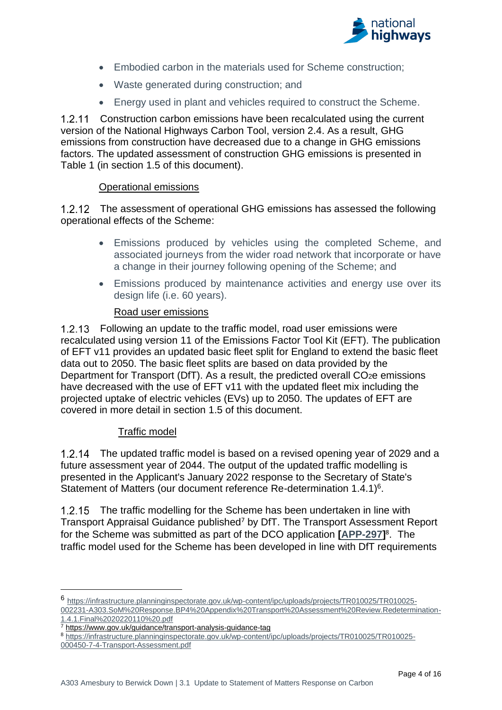

- Embodied carbon in the materials used for Scheme construction;
- Waste generated during construction; and
- Energy used in plant and vehicles required to construct the Scheme.

1.2.11 Construction carbon emissions have been recalculated using the current version of the National Highways Carbon Tool, version 2.4. As a result, GHG emissions from construction have decreased due to a change in GHG emissions factors. The updated assessment of construction GHG emissions is presented in Table 1 (in section 1.5 of this document).

### Operational emissions

1.2.12 The assessment of operational GHG emissions has assessed the following operational effects of the Scheme:

- Emissions produced by vehicles using the completed Scheme, and associated journeys from the wider road network that incorporate or have a change in their journey following opening of the Scheme; and
- Emissions produced by maintenance activities and energy use over its design life (i.e. 60 years).

### Road user emissions

Following an update to the traffic model, road user emissions were recalculated using version 11 of the Emissions Factor Tool Kit (EFT). The publication of EFT v11 provides an updated basic fleet split for England to extend the basic fleet data out to 2050. The basic fleet splits are based on data provided by the Department for Transport (DfT). As a result, the predicted overall CO<sub>2</sub>e emissions have decreased with the use of EFT v11 with the updated fleet mix including the projected uptake of electric vehicles (EVs) up to 2050. The updates of EFT are covered in more detail in section 1.5 of this document.

### Traffic model

The updated traffic model is based on a revised opening year of 2029 and a future assessment year of 2044. The output of the updated traffic modelling is presented in the Applicant's January 2022 response to the Secretary of State's Statement of Matters (our document reference Re-determination 1.4.1)<sup>6</sup>.

1.2.15 The traffic modelling for the Scheme has been undertaken in line with Transport Appraisal Guidance published<sup>7</sup> by DfT. The Transport Assessment Report for the Scheme was submitted as part of the DCO application **[\[APP-297\]](https://infrastructure.planninginspectorate.gov.uk/wp-content/ipc/uploads/projects/TR010025/TR010025-000450-7-4-Transport-Assessment.pdf)** 8 . The traffic model used for the Scheme has been developed in line with DfT requirements

<sup>6</sup> [https://infrastructure.planninginspectorate.gov.uk/wp-content/ipc/uploads/projects/TR010025/TR010025-](https://infrastructure.planninginspectorate.gov.uk/wp-content/ipc/uploads/projects/TR010025/TR010025-002231-A303.SoM%20Response.BP4%20Appendix%20Transport%20Assessment%20Review.Redetermination-1.4.1.Final%2020220110%20.pdf)

[<sup>002231-</sup>A303.SoM%20Response.BP4%20Appendix%20Transport%20Assessment%20Review.Redetermination-](https://infrastructure.planninginspectorate.gov.uk/wp-content/ipc/uploads/projects/TR010025/TR010025-002231-A303.SoM%20Response.BP4%20Appendix%20Transport%20Assessment%20Review.Redetermination-1.4.1.Final%2020220110%20.pdf)[1.4.1.Final%2020220110%20.pdf](https://infrastructure.planninginspectorate.gov.uk/wp-content/ipc/uploads/projects/TR010025/TR010025-002231-A303.SoM%20Response.BP4%20Appendix%20Transport%20Assessment%20Review.Redetermination-1.4.1.Final%2020220110%20.pdf)

<sup>7</sup> <https://www.gov.uk/guidance/transport-analysis-guidance-tag>

<sup>8</sup> [https://infrastructure.planninginspectorate.gov.uk/wp-content/ipc/uploads/projects/TR010025/TR010025-](https://infrastructure.planninginspectorate.gov.uk/wp-content/ipc/uploads/projects/TR010025/TR010025-000450-7-4-Transport-Assessment.pdf)

[<sup>000450-7-4-</sup>Transport-Assessment.pdf](https://infrastructure.planninginspectorate.gov.uk/wp-content/ipc/uploads/projects/TR010025/TR010025-000450-7-4-Transport-Assessment.pdf)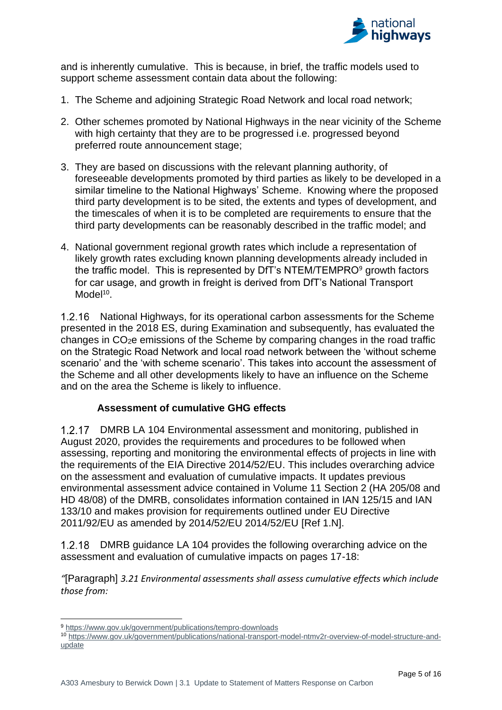

and is inherently cumulative. This is because, in brief, the traffic models used to support scheme assessment contain data about the following:

- 1. The Scheme and adjoining Strategic Road Network and local road network;
- 2. Other schemes promoted by National Highways in the near vicinity of the Scheme with high certainty that they are to be progressed i.e. progressed beyond preferred route announcement stage;
- 3. They are based on discussions with the relevant planning authority, of foreseeable developments promoted by third parties as likely to be developed in a similar timeline to the National Highways' Scheme. Knowing where the proposed third party development is to be sited, the extents and types of development, and the timescales of when it is to be completed are requirements to ensure that the third party developments can be reasonably described in the traffic model; and
- 4. National government regional growth rates which include a representation of likely growth rates excluding known planning developments already included in the traffic model. This is represented by DfT's NTEM/TEMPRO<sup>9</sup> growth factors for car usage, and growth in freight is derived from DfT's National Transport Model<sup>10</sup>.

1.2.16 National Highways, for its operational carbon assessments for the Scheme presented in the 2018 ES, during Examination and subsequently, has evaluated the changes in  $CO<sub>2</sub>e$  emissions of the Scheme by comparing changes in the road traffic on the Strategic Road Network and local road network between the 'without scheme scenario' and the 'with scheme scenario'. This takes into account the assessment of the Scheme and all other developments likely to have an influence on the Scheme and on the area the Scheme is likely to influence.

### **Assessment of cumulative GHG effects**

DMRB LA 104 Environmental assessment and monitoring, published in August 2020, provides the requirements and procedures to be followed when assessing, reporting and monitoring the environmental effects of projects in line with the requirements of the EIA Directive 2014/52/EU. This includes overarching advice on the assessment and evaluation of cumulative impacts. It updates previous environmental assessment advice contained in Volume 11 Section 2 (HA 205/08 and HD 48/08) of the DMRB, consolidates information contained in IAN 125/15 and IAN 133/10 and makes provision for requirements outlined under EU Directive 2011/92/EU as amended by 2014/52/EU 2014/52/EU [Ref 1.N].

DMRB guidance LA 104 provides the following overarching advice on the assessment and evaluation of cumulative impacts on pages 17-18:

*"*[Paragraph] *3.21 Environmental assessments shall assess cumulative effects which include those from:*

<sup>9</sup> <https://www.gov.uk/government/publications/tempro-downloads>

<sup>10</sup> [https://www.gov.uk/government/publications/national-transport-model-ntmv2r-overview-of-model-structure-and](https://www.gov.uk/government/publications/national-transport-model-ntmv2r-overview-of-model-structure-and-update)[update](https://www.gov.uk/government/publications/national-transport-model-ntmv2r-overview-of-model-structure-and-update)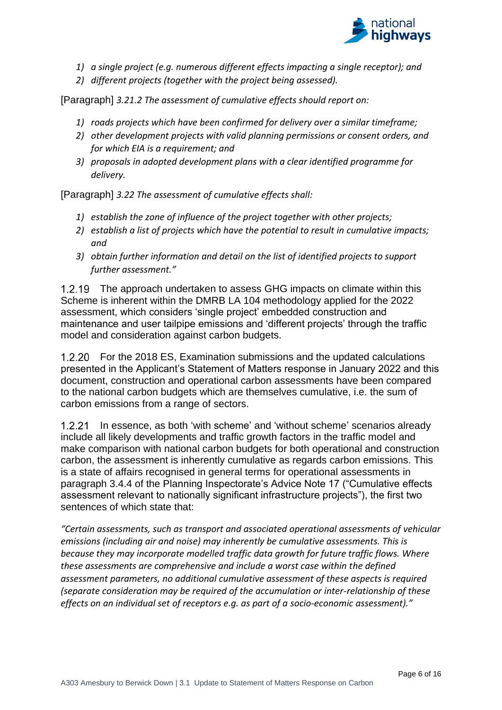

- *1) a single project (e.g. numerous different effects impacting a single receptor); and*
- *2) different projects (together with the project being assessed).*

[Paragraph] *3.21.2 The assessment of cumulative effects should report on:*

- *1) roads projects which have been confirmed for delivery over a similar timeframe;*
- *2) other development projects with valid planning permissions or consent orders, and for which EIA is a requirement; and*
- *3) proposals in adopted development plans with a clear identified programme for delivery.*

[Paragraph] *3.22 The assessment of cumulative effects shall:*

- *1) establish the zone of influence of the project together with other projects;*
- *2) establish a list of projects which have the potential to result in cumulative impacts; and*
- *3) obtain further information and detail on the list of identified projects to support further assessment."*

1.2.19 The approach undertaken to assess GHG impacts on climate within this Scheme is inherent within the DMRB LA 104 methodology applied for the 2022 assessment, which considers 'single project' embedded construction and maintenance and user tailpipe emissions and 'different projects' through the traffic model and consideration against carbon budgets.

For the 2018 ES, Examination submissions and the updated calculations presented in the Applicant's Statement of Matters response in January 2022 and this document, construction and operational carbon assessments have been compared to the national carbon budgets which are themselves cumulative, i.e. the sum of carbon emissions from a range of sectors.

In essence, as both 'with scheme' and 'without scheme' scenarios already include all likely developments and traffic growth factors in the traffic model and make comparison with national carbon budgets for both operational and construction carbon, the assessment is inherently cumulative as regards carbon emissions. This is a state of affairs recognised in general terms for operational assessments in paragraph 3.4.4 of the Planning Inspectorate's Advice Note 17 ("Cumulative effects assessment relevant to nationally significant infrastructure projects"), the first two sentences of which state that:

*"Certain assessments, such as transport and associated operational assessments of vehicular emissions (including air and noise) may inherently be cumulative assessments. This is because they may incorporate modelled traffic data growth for future traffic flows. Where these assessments are comprehensive and include a worst case within the defined assessment parameters, no additional cumulative assessment of these aspects is required (separate consideration may be required of the accumulation or inter-relationship of these effects on an individual set of receptors e.g. as part of a socio-economic assessment)."*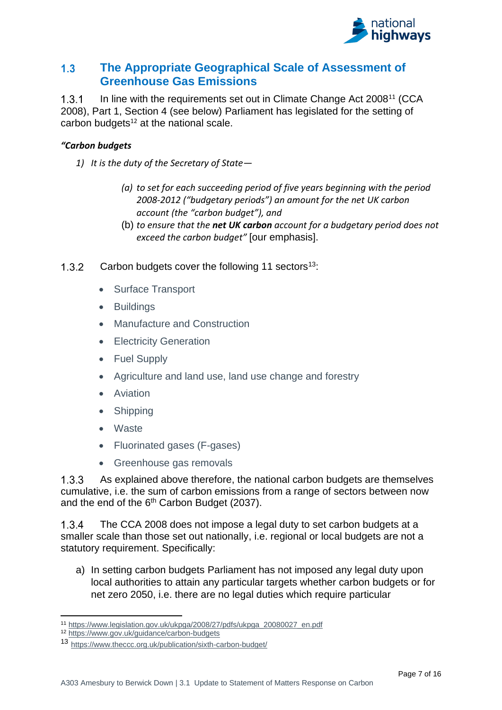

#### <span id="page-9-0"></span> $1.3$ **The Appropriate Geographical Scale of Assessment of Greenhouse Gas Emissions**

 $1.3.1$ In line with the requirements set out in Climate Change Act 2008<sup>11</sup> (CCA 2008), Part 1, Section 4 (see below) Parliament has legislated for the setting of carbon budgets $12$  at the national scale.

## *"Carbon budgets*

- *1) It is the duty of the Secretary of State—*
	- *(a) to set for each succeeding period of five years beginning with the period 2008-2012 ("budgetary periods") an amount for the net UK carbon account (the "carbon budget"), and*
	- (b) *to ensure that the net UK carbon account for a budgetary period does not exceed the carbon budget"* [our emphasis].
- $1.3.2$ Carbon budgets cover the following 11 sectors<sup>13</sup>:
	- Surface Transport
	- Buildings
	- Manufacture and Construction
	- Electricity Generation
	- Fuel Supply
	- Agriculture and land use, land use change and forestry
	- Aviation
	- Shipping
	- Waste
	- Fluorinated gases (F-gases)
	- Greenhouse gas removals

 $1.3.3$ As explained above therefore, the national carbon budgets are themselves cumulative, i.e. the sum of carbon emissions from a range of sectors between now and the end of the 6<sup>th</sup> Carbon Budget (2037).

The CCA 2008 does not impose a legal duty to set carbon budgets at a  $1.3.4$ smaller scale than those set out nationally, i.e. regional or local budgets are not a statutory requirement. Specifically:

a) In setting carbon budgets Parliament has not imposed any legal duty upon local authorities to attain any particular targets whether carbon budgets or for net zero 2050, i.e. there are no legal duties which require particular

<sup>11</sup> [https://www.legislation.gov.uk/ukpga/2008/27/pdfs/ukpga\\_20080027\\_en.pdf](https://www.legislation.gov.uk/ukpga/2008/27/pdfs/ukpga_20080027_en.pdf)

<sup>12</sup> <https://www.gov.uk/guidance/carbon-budgets>

<sup>13</sup> <https://www.theccc.org.uk/publication/sixth-carbon-budget/>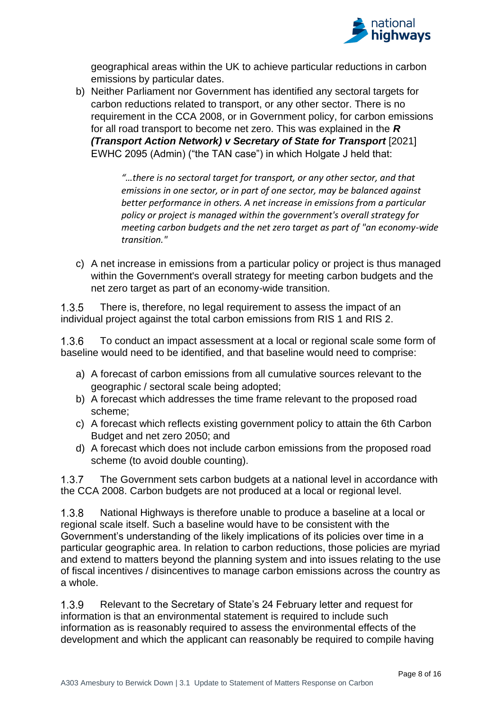

geographical areas within the UK to achieve particular reductions in carbon emissions by particular dates.

b) Neither Parliament nor Government has identified any sectoral targets for carbon reductions related to transport, or any other sector. There is no requirement in the CCA 2008, or in Government policy, for carbon emissions for all road transport to become net zero. This was explained in the *R (Transport Action Network) v Secretary of State for Transport* [2021] EWHC 2095 (Admin) ("the TAN case") in which Holgate J held that:

> *"…there is no sectoral target for transport, or any other sector, and that emissions in one sector, or in part of one sector, may be balanced against better performance in others. A net increase in emissions from a particular policy or project is managed within the government's overall strategy for meeting carbon budgets and the net zero target as part of "an economy-wide transition."*

c) A net increase in emissions from a particular policy or project is thus managed within the Government's overall strategy for meeting carbon budgets and the net zero target as part of an economy-wide transition.

 $1.3.5$ There is, therefore, no legal requirement to assess the impact of an individual project against the total carbon emissions from RIS 1 and RIS 2.

 $1.3.6$ To conduct an impact assessment at a local or regional scale some form of baseline would need to be identified, and that baseline would need to comprise:

- a) A forecast of carbon emissions from all cumulative sources relevant to the geographic / sectoral scale being adopted;
- b) A forecast which addresses the time frame relevant to the proposed road scheme;
- c) A forecast which reflects existing government policy to attain the 6th Carbon Budget and net zero 2050; and
- d) A forecast which does not include carbon emissions from the proposed road scheme (to avoid double counting).

 $1.3.7$ The Government sets carbon budgets at a national level in accordance with the CCA 2008. Carbon budgets are not produced at a local or regional level.

National Highways is therefore unable to produce a baseline at a local or  $1.3.8$ regional scale itself. Such a baseline would have to be consistent with the Government's understanding of the likely implications of its policies over time in a particular geographic area. In relation to carbon reductions, those policies are myriad and extend to matters beyond the planning system and into issues relating to the use of fiscal incentives / disincentives to manage carbon emissions across the country as a whole.

 $1.3.9$ Relevant to the Secretary of State's 24 February letter and request for information is that an environmental statement is required to include such information as is reasonably required to assess the environmental effects of the development and which the applicant can reasonably be required to compile having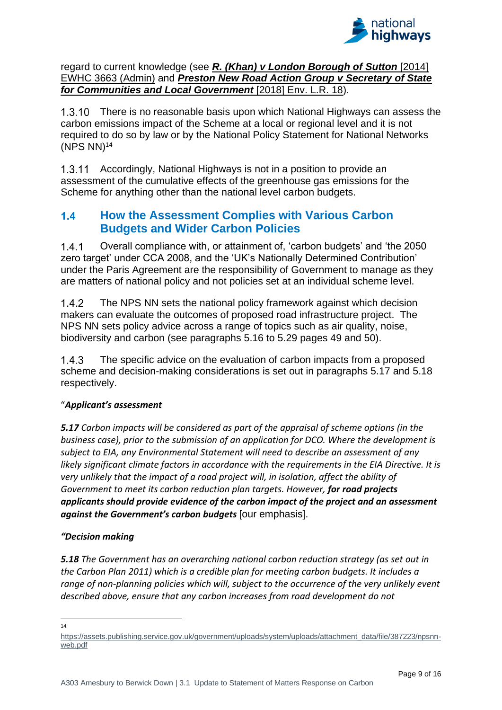

regard to current knowledge (see *[R. \(Khan\) v London Borough of Sutton](https://uk.practicallaw.thomsonreuters.com/Link/Document/FullText?findType=Y&serNum=2034718241&pubNum=6821&originatingDoc=ID3C900D0038511E9A3FD959F5674FEF3&refType=UC&originationContext=document&transitionType=CommentaryUKLink&ppcid=f1b6a2c360f244afa32adfc4029d3b5a&contextData=(sc.Search)&comp=books)* [2014] [EWHC 3663 \(Admin\)](https://uk.practicallaw.thomsonreuters.com/Link/Document/FullText?findType=Y&serNum=2034718241&pubNum=6821&originatingDoc=ID3C900D0038511E9A3FD959F5674FEF3&refType=UC&originationContext=document&transitionType=CommentaryUKLink&ppcid=f1b6a2c360f244afa32adfc4029d3b5a&contextData=(sc.Search)&comp=books) and *[Preston New Road Action Group v Secretary of State](https://uk.practicallaw.thomsonreuters.com/Link/Document/FullText?findType=Y&serNum=2043603709&pubNum=6448&originatingDoc=ID3C900D0038511E9A3FD959F5674FEF3&refType=UC&originationContext=document&transitionType=CommentaryUKLink&ppcid=f1b6a2c360f244afa32adfc4029d3b5a&contextData=(sc.Search))  [for Communities and Local Government](https://uk.practicallaw.thomsonreuters.com/Link/Document/FullText?findType=Y&serNum=2043603709&pubNum=6448&originatingDoc=ID3C900D0038511E9A3FD959F5674FEF3&refType=UC&originationContext=document&transitionType=CommentaryUKLink&ppcid=f1b6a2c360f244afa32adfc4029d3b5a&contextData=(sc.Search))* [2018] Env. L.R. 18).

There is no reasonable basis upon which National Highways can assess the carbon emissions impact of the Scheme at a local or regional level and it is not required to do so by law or by the National Policy Statement for National Networks  $(NPS NN)<sup>14</sup>$ 

1.3.11 Accordingly, National Highways is not in a position to provide an assessment of the cumulative effects of the greenhouse gas emissions for the Scheme for anything other than the national level carbon budgets.

#### <span id="page-11-0"></span> $1.4$ **How the Assessment Complies with Various Carbon Budgets and Wider Carbon Policies**

 $1.4.1$ Overall compliance with, or attainment of, 'carbon budgets' and 'the 2050 zero target' under CCA 2008, and the 'UK's Nationally Determined Contribution' under the Paris Agreement are the responsibility of Government to manage as they are matters of national policy and not policies set at an individual scheme level.

 $1.4.2$ The NPS NN sets the national policy framework against which decision makers can evaluate the outcomes of proposed road infrastructure project. The NPS NN sets policy advice across a range of topics such as air quality, noise, biodiversity and carbon (see paragraphs 5.16 to 5.29 pages 49 and 50).

 $1.4.3$ The specific advice on the evaluation of carbon impacts from a proposed scheme and decision-making considerations is set out in paragraphs 5.17 and 5.18 respectively.

## "*Applicant's assessment*

*5.17 Carbon impacts will be considered as part of the appraisal of scheme options (in the business case), prior to the submission of an application for DCO. Where the development is subject to EIA, any Environmental Statement will need to describe an assessment of any likely significant climate factors in accordance with the requirements in the EIA Directive. It is very unlikely that the impact of a road project will, in isolation, affect the ability of Government to meet its carbon reduction plan targets. However, for road projects applicants should provide evidence of the carbon impact of the project and an assessment against the Government's carbon budgets* [our emphasis].

### *"Decision making*

*5.18 The Government has an overarching national carbon reduction strategy (as set out in the Carbon Plan 2011) which is a credible plan for meeting carbon budgets. It includes a range of non-planning policies which will, subject to the occurrence of the very unlikely event described above, ensure that any carbon increases from road development do not* 

<sup>14</sup>

[https://assets.publishing.service.gov.uk/government/uploads/system/uploads/attachment\\_data/file/387223/npsnn](https://assets.publishing.service.gov.uk/government/uploads/system/uploads/attachment_data/file/387223/npsnn-web.pdf)[web.pdf](https://assets.publishing.service.gov.uk/government/uploads/system/uploads/attachment_data/file/387223/npsnn-web.pdf)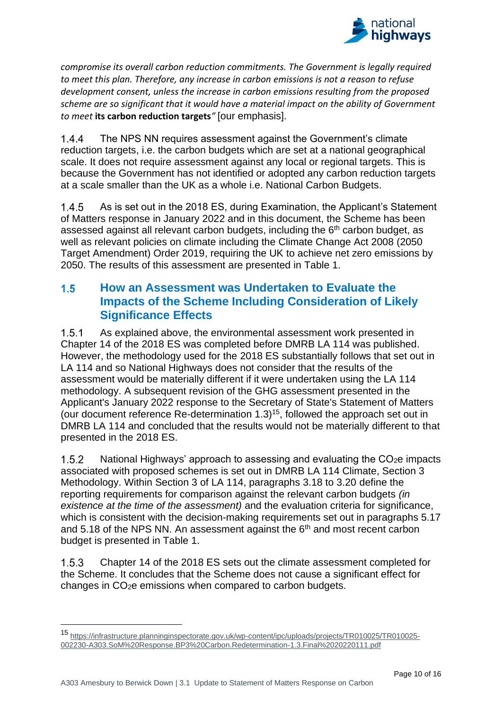

*compromise its overall carbon reduction commitments. The Government is legally required to meet this plan. Therefore, any increase in carbon emissions is not a reason to refuse development consent, unless the increase in carbon emissions resulting from the proposed scheme are so significant that it would have a material impact on the ability of Government to meet* **its carbon reduction targets***"* [our emphasis].

 $1.4.4$ The NPS NN requires assessment against the Government's climate reduction targets, i.e. the carbon budgets which are set at a national geographical scale. It does not require assessment against any local or regional targets. This is because the Government has not identified or adopted any carbon reduction targets at a scale smaller than the UK as a whole i.e. National Carbon Budgets.

 $1.4.5$ As is set out in the 2018 ES, during Examination, the Applicant's Statement of Matters response in January 2022 and in this document, the Scheme has been assessed against all relevant carbon budgets, including the  $6<sup>th</sup>$  carbon budget, as well as relevant policies on climate including the Climate Change Act 2008 (2050 Target Amendment) Order 2019, requiring the UK to achieve net zero emissions by 2050. The results of this assessment are presented in Table 1.

#### <span id="page-12-0"></span> $1.5$ **How an Assessment was Undertaken to Evaluate the Impacts of the Scheme Including Consideration of Likely Significance Effects**

 $1.5.1$ As explained above, the environmental assessment work presented in Chapter 14 of the 2018 ES was completed before DMRB LA 114 was published. However, the methodology used for the 2018 ES substantially follows that set out in LA 114 and so National Highways does not consider that the results of the assessment would be materially different if it were undertaken using the LA 114 methodology. A subsequent revision of the GHG assessment presented in the Applicant's January 2022 response to the Secretary of State's Statement of Matters (our document reference Re-determination 1.3)<sup>15</sup>, followed the approach set out in DMRB LA 114 and concluded that the results would not be materially different to that presented in the 2018 ES.

 $1.5.2$ National Highways' approach to assessing and evaluating the  $CO<sub>2</sub>e$  impacts associated with proposed schemes is set out in DMRB LA 114 Climate, Section 3 Methodology. Within Section 3 of LA 114, paragraphs 3.18 to 3.20 define the reporting requirements for comparison against the relevant carbon budgets *(in existence at the time of the assessment)* and the evaluation criteria for significance, which is consistent with the decision-making requirements set out in paragraphs 5.17 and 5.18 of the NPS NN. An assessment against the  $6<sup>th</sup>$  and most recent carbon budget is presented in Table 1.

Chapter 14 of the 2018 ES sets out the climate assessment completed for  $1.5.3$ the Scheme. It concludes that the Scheme does not cause a significant effect for changes in CO2e emissions when compared to carbon budgets.

<sup>15</sup> [https://infrastructure.planninginspectorate.gov.uk/wp-content/ipc/uploads/projects/TR010025/TR010025-](https://infrastructure.planninginspectorate.gov.uk/wp-content/ipc/uploads/projects/TR010025/TR010025-002230-A303.SoM%20Response.BP3%20Carbon.Redetermination-1.3.Final%2020220111.pdf) [002230-A303.SoM%20Response.BP3%20Carbon.Redetermination-1.3.Final%2020220111.pdf](https://infrastructure.planninginspectorate.gov.uk/wp-content/ipc/uploads/projects/TR010025/TR010025-002230-A303.SoM%20Response.BP3%20Carbon.Redetermination-1.3.Final%2020220111.pdf)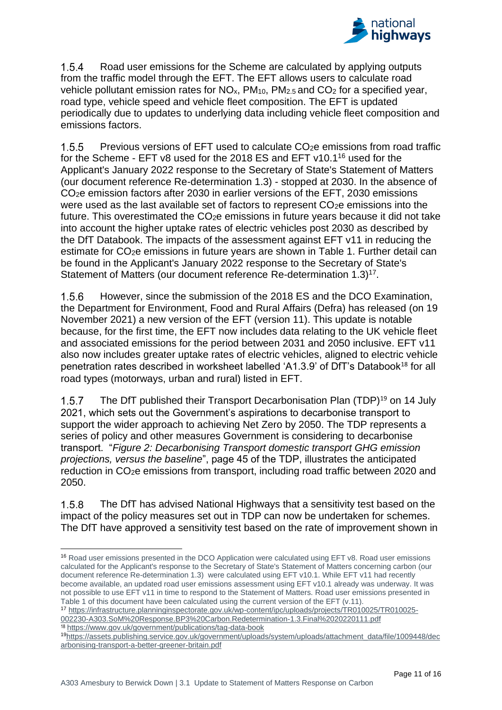

 $1.5.4$ Road user emissions for the Scheme are calculated by applying outputs from the traffic model through the EFT. The EFT allows users to calculate road vehicle pollutant emission rates for  $NO<sub>x</sub>$ ,  $PM<sub>10</sub>$ ,  $PM<sub>2.5</sub>$  and  $CO<sub>2</sub>$  for a specified year, road type, vehicle speed and vehicle fleet composition. The EFT is updated periodically due to updates to underlying data including vehicle fleet composition and emissions factors.

 $1.5.5$ Previous versions of EFT used to calculate CO2e emissions from road traffic for the Scheme - EFT v8 used for the 2018 ES and EFT v10.1<sup>16</sup> used for the Applicant's January 2022 response to the Secretary of State's Statement of Matters (our document reference Re-determination 1.3) - stopped at 2030. In the absence of CO2e emission factors after 2030 in earlier versions of the EFT, 2030 emissions were used as the last available set of factors to represent CO2e emissions into the future. This overestimated the CO<sub>2</sub>e emissions in future years because it did not take into account the higher uptake rates of electric vehicles post 2030 as described by the DfT Databook. The impacts of the assessment against EFT v11 in reducing the estimate for CO2e emissions in future years are shown in Table 1. Further detail can be found in the Applicant's January 2022 response to the Secretary of State's Statement of Matters (our document reference Re-determination 1.3)<sup>17</sup>.

 $1.5.6$ However, since the submission of the 2018 ES and the DCO Examination, the Department for Environment, Food and Rural Affairs (Defra) has released (on 19 November 2021) a new version of the EFT (version 11). This update is notable because, for the first time, the EFT now includes data relating to the UK vehicle fleet and associated emissions for the period between 2031 and 2050 inclusive. EFT v11 also now includes greater uptake rates of electric vehicles, aligned to electric vehicle penetration rates described in worksheet labelled 'A1.3.9' of DfT's Databook<sup>18</sup> for all road types (motorways, urban and rural) listed in EFT.

 $1.5.7$ The DfT published their Transport Decarbonisation Plan (TDP)<sup>19</sup> on 14 July 2021, which sets out the Government's aspirations to decarbonise transport to support the wider approach to achieving Net Zero by 2050. The TDP represents a series of policy and other measures Government is considering to decarbonise transport. "*Figure 2: Decarbonising Transport domestic transport GHG emission projections, versus the baseline*", page 45 of the TDP, illustrates the anticipated reduction in CO2e emissions from transport, including road traffic between 2020 and 2050.

158 The DfT has advised National Highways that a sensitivity test based on the impact of the policy measures set out in TDP can now be undertaken for schemes. The DfT have approved a sensitivity test based on the rate of improvement shown in

<sup>17</sup> [https://infrastructure.planninginspectorate.gov.uk/wp-content/ipc/uploads/projects/TR010025/TR010025-](https://infrastructure.planninginspectorate.gov.uk/wp-content/ipc/uploads/projects/TR010025/TR010025-002230-A303.SoM%20Response.BP3%20Carbon.Redetermination-1.3.Final%2020220111.pdf) [002230-A303.SoM%20Response.BP3%20Carbon.Redetermination-1.3.Final%2020220111.pdf](https://infrastructure.planninginspectorate.gov.uk/wp-content/ipc/uploads/projects/TR010025/TR010025-002230-A303.SoM%20Response.BP3%20Carbon.Redetermination-1.3.Final%2020220111.pdf)

<sup>18</sup> <https://www.gov.uk/government/publications/tag-data-book>

<sup>16</sup> Road user emissions presented in the DCO Application were calculated using EFT v8. Road user emissions calculated for the Applicant's response to the Secretary of State's Statement of Matters concerning carbon (our document reference Re-determination 1.3) were calculated using EFT v10.1. While EFT v11 had recently become available, an updated road user emissions assessment using EFT v10.1 already was underway. It was not possible to use EFT v11 in time to respond to the Statement of Matters. Road user emissions presented in Table 1 of this document have been calculated using the current version of the EFT (v.11).

<sup>19</sup>[https://assets.publishing.service.gov.uk/government/uploads/system/uploads/attachment\\_data/file/1009448/dec](https://assets.publishing.service.gov.uk/government/uploads/system/uploads/attachment_data/file/1009448/decarbonising-transport-a-better-greener-britain.pdf) [arbonising-transport-a-better-greener-britain.pdf](https://assets.publishing.service.gov.uk/government/uploads/system/uploads/attachment_data/file/1009448/decarbonising-transport-a-better-greener-britain.pdf)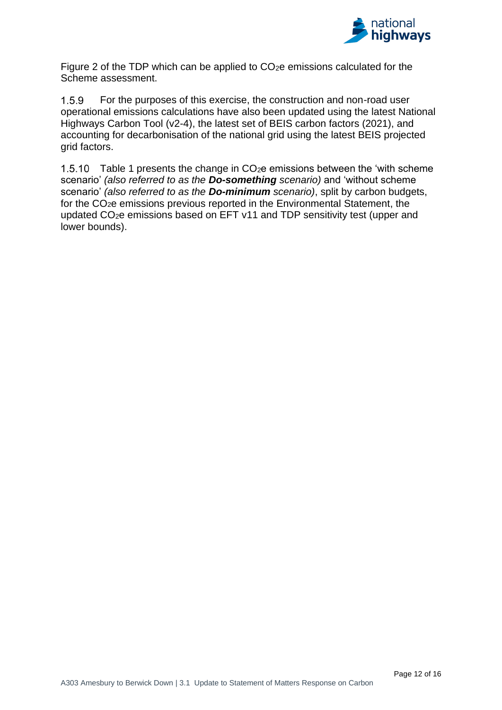

Figure 2 of the TDP which can be applied to CO2e emissions calculated for the Scheme assessment.

 $1.5.9$ For the purposes of this exercise, the construction and non-road user operational emissions calculations have also been updated using the latest National Highways Carbon Tool (v2-4), the latest set of BEIS carbon factors (2021), and accounting for decarbonisation of the national grid using the latest BEIS projected grid factors.

1.5.10 Table 1 presents the change in  $CO<sub>2</sub>e$  emissions between the 'with scheme scenario' *(also referred to as the Do-something scenario)* and 'without scheme scenario' *(also referred to as the Do-minimum scenario)*, split by carbon budgets, for the CO2e emissions previous reported in the Environmental Statement, the updated CO2e emissions based on EFT v11 and TDP sensitivity test (upper and lower bounds).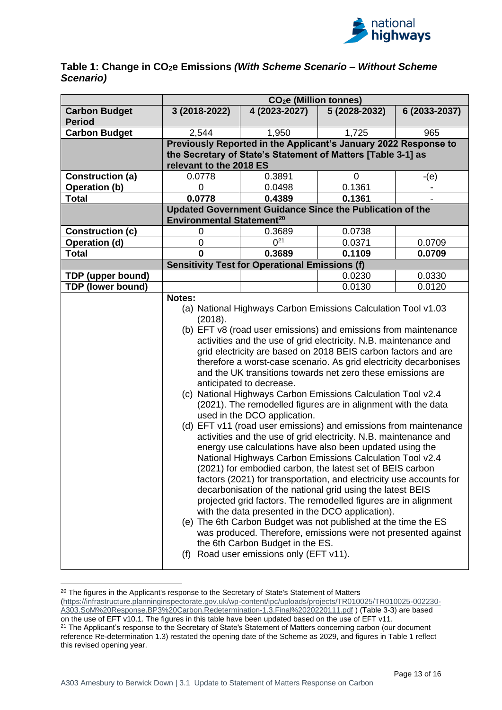

#### **Table 1: Change in CO2e Emissions** *(With Scheme Scenario – Without Scheme Scenario)*

|                                       | CO <sub>2</sub> e (Million tonnes)                                                                                                                                                                                                                                                                                                                                                                                                                                                                                                                                                                                                                                                                                                                                                                                                                                                                                                                                                                                                                                                                                                                                                                                                                                                                                                                                                                                                         |               |               |               |  |
|---------------------------------------|--------------------------------------------------------------------------------------------------------------------------------------------------------------------------------------------------------------------------------------------------------------------------------------------------------------------------------------------------------------------------------------------------------------------------------------------------------------------------------------------------------------------------------------------------------------------------------------------------------------------------------------------------------------------------------------------------------------------------------------------------------------------------------------------------------------------------------------------------------------------------------------------------------------------------------------------------------------------------------------------------------------------------------------------------------------------------------------------------------------------------------------------------------------------------------------------------------------------------------------------------------------------------------------------------------------------------------------------------------------------------------------------------------------------------------------------|---------------|---------------|---------------|--|
| <b>Carbon Budget</b><br><b>Period</b> | 3 (2018-2022)                                                                                                                                                                                                                                                                                                                                                                                                                                                                                                                                                                                                                                                                                                                                                                                                                                                                                                                                                                                                                                                                                                                                                                                                                                                                                                                                                                                                                              | 4 (2023-2027) | 5 (2028-2032) | 6 (2033-2037) |  |
| <b>Carbon Budget</b>                  | 2,544                                                                                                                                                                                                                                                                                                                                                                                                                                                                                                                                                                                                                                                                                                                                                                                                                                                                                                                                                                                                                                                                                                                                                                                                                                                                                                                                                                                                                                      | 1,950         | 1,725         | 965           |  |
|                                       | Previously Reported in the Applicant's January 2022 Response to<br>the Secretary of State's Statement of Matters [Table 3-1] as<br>relevant to the 2018 ES                                                                                                                                                                                                                                                                                                                                                                                                                                                                                                                                                                                                                                                                                                                                                                                                                                                                                                                                                                                                                                                                                                                                                                                                                                                                                 |               |               |               |  |
| <b>Construction (a)</b>               | 0.0778                                                                                                                                                                                                                                                                                                                                                                                                                                                                                                                                                                                                                                                                                                                                                                                                                                                                                                                                                                                                                                                                                                                                                                                                                                                                                                                                                                                                                                     | 0.3891        | 0             | $-(e)$        |  |
| <b>Operation (b)</b>                  | 0                                                                                                                                                                                                                                                                                                                                                                                                                                                                                                                                                                                                                                                                                                                                                                                                                                                                                                                                                                                                                                                                                                                                                                                                                                                                                                                                                                                                                                          | 0.0498        | 0.1361        |               |  |
| <b>Total</b>                          | 0.0778                                                                                                                                                                                                                                                                                                                                                                                                                                                                                                                                                                                                                                                                                                                                                                                                                                                                                                                                                                                                                                                                                                                                                                                                                                                                                                                                                                                                                                     | 0.4389        | 0.1361        |               |  |
|                                       | <b>Updated Government Guidance Since the Publication of the</b>                                                                                                                                                                                                                                                                                                                                                                                                                                                                                                                                                                                                                                                                                                                                                                                                                                                                                                                                                                                                                                                                                                                                                                                                                                                                                                                                                                            |               |               |               |  |
|                                       | <b>Environmental Statement<sup>20</sup></b>                                                                                                                                                                                                                                                                                                                                                                                                                                                                                                                                                                                                                                                                                                                                                                                                                                                                                                                                                                                                                                                                                                                                                                                                                                                                                                                                                                                                |               |               |               |  |
| <b>Construction (c)</b>               | 0                                                                                                                                                                                                                                                                                                                                                                                                                                                                                                                                                                                                                                                                                                                                                                                                                                                                                                                                                                                                                                                                                                                                                                                                                                                                                                                                                                                                                                          | 0.3689        | 0.0738        |               |  |
| Operation (d)                         | 0                                                                                                                                                                                                                                                                                                                                                                                                                                                                                                                                                                                                                                                                                                                                                                                                                                                                                                                                                                                                                                                                                                                                                                                                                                                                                                                                                                                                                                          | $0^{21}$      | 0.0371        | 0.0709        |  |
| <b>Total</b>                          | 0                                                                                                                                                                                                                                                                                                                                                                                                                                                                                                                                                                                                                                                                                                                                                                                                                                                                                                                                                                                                                                                                                                                                                                                                                                                                                                                                                                                                                                          | 0.3689        | 0.1109        | 0.0709        |  |
|                                       | <b>Sensitivity Test for Operational Emissions (f)</b>                                                                                                                                                                                                                                                                                                                                                                                                                                                                                                                                                                                                                                                                                                                                                                                                                                                                                                                                                                                                                                                                                                                                                                                                                                                                                                                                                                                      |               |               |               |  |
| <b>TDP (upper bound)</b>              |                                                                                                                                                                                                                                                                                                                                                                                                                                                                                                                                                                                                                                                                                                                                                                                                                                                                                                                                                                                                                                                                                                                                                                                                                                                                                                                                                                                                                                            |               | 0.0230        | 0.0330        |  |
| <b>TDP (lower bound)</b>              |                                                                                                                                                                                                                                                                                                                                                                                                                                                                                                                                                                                                                                                                                                                                                                                                                                                                                                                                                                                                                                                                                                                                                                                                                                                                                                                                                                                                                                            |               | 0.0130        | 0.0120        |  |
|                                       | Notes:<br>(a) National Highways Carbon Emissions Calculation Tool v1.03<br>(2018).<br>(b) EFT v8 (road user emissions) and emissions from maintenance<br>activities and the use of grid electricity. N.B. maintenance and<br>grid electricity are based on 2018 BEIS carbon factors and are<br>therefore a worst-case scenario. As grid electricity decarbonises<br>and the UK transitions towards net zero these emissions are<br>anticipated to decrease.<br>(c) National Highways Carbon Emissions Calculation Tool v2.4<br>(2021). The remodelled figures are in alignment with the data<br>used in the DCO application.<br>(d) EFT v11 (road user emissions) and emissions from maintenance<br>activities and the use of grid electricity. N.B. maintenance and<br>energy use calculations have also been updated using the<br>National Highways Carbon Emissions Calculation Tool v2.4<br>(2021) for embodied carbon, the latest set of BEIS carbon<br>factors (2021) for transportation, and electricity use accounts for<br>decarbonisation of the national grid using the latest BEIS<br>projected grid factors. The remodelled figures are in alignment<br>with the data presented in the DCO application).<br>(e) The 6th Carbon Budget was not published at the time the ES<br>was produced. Therefore, emissions were not presented against<br>the 6th Carbon Budget in the ES.<br>Road user emissions only (EFT v11).<br>(f) |               |               |               |  |

<sup>&</sup>lt;sup>20</sup> The figures in the Applicant's response to the Secretary of State's Statement of Matters

[\(https://infrastructure.planninginspectorate.gov.uk/wp-content/ipc/uploads/projects/TR010025/TR010025-002230-](https://infrastructure.planninginspectorate.gov.uk/wp-content/ipc/uploads/projects/TR010025/TR010025-002230-A303.SoM%20Response.BP3%20Carbon.Redetermination-1.3.Final%2020220111.pdf) [A303.SoM%20Response.BP3%20Carbon.Redetermination-1.3.Final%2020220111.pdf](https://infrastructure.planninginspectorate.gov.uk/wp-content/ipc/uploads/projects/TR010025/TR010025-002230-A303.SoM%20Response.BP3%20Carbon.Redetermination-1.3.Final%2020220111.pdf) ) (Table 3-3) are based on the use of EFT v10.1. The figures in this table have been updated based on the use of EFT v11. <sup>21</sup> The Applicant's response to the Secretary of State's Statement of Matters concerning carbon (our document reference Re-determination 1.3) restated the opening date of the Scheme as 2029, and figures in Table 1 reflect this revised opening year.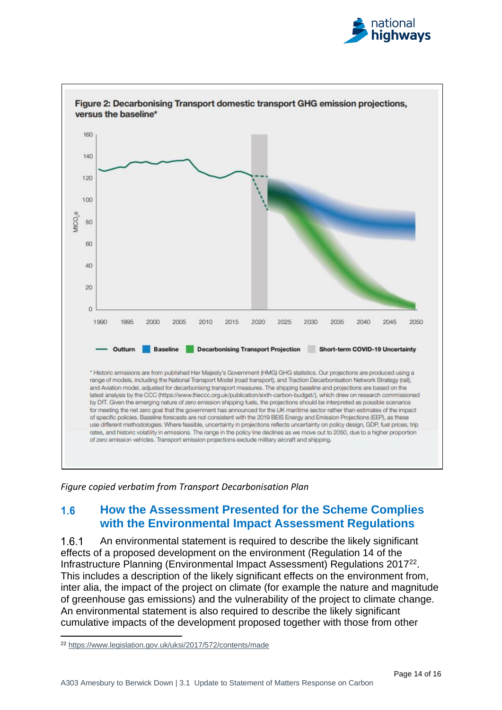



*Figure copied verbatim from Transport Decarbonisation Plan*

#### <span id="page-16-0"></span> $1.6$ **How the Assessment Presented for the Scheme Complies with the Environmental Impact Assessment Regulations**

An environmental statement is required to describe the likely significant 161 effects of a proposed development on the environment (Regulation 14 of the Infrastructure Planning (Environmental Impact Assessment) Regulations 2017<sup>22</sup>. This includes a description of the likely significant effects on the environment from, inter alia, the impact of the project on climate (for example the nature and magnitude of greenhouse gas emissions) and the vulnerability of the project to climate change. An environmental statement is also required to describe the likely significant cumulative impacts of the development proposed together with those from other

<sup>22</sup> <https://www.legislation.gov.uk/uksi/2017/572/contents/made>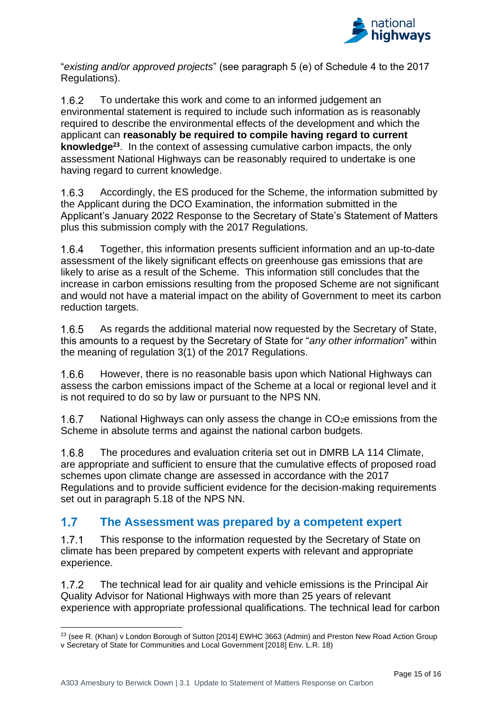

"*existing and/or approved projects*" (see paragraph 5 (e) of Schedule 4 to the 2017 Regulations).

To undertake this work and come to an informed judgement an  $1.6.2$ environmental statement is required to include such information as is reasonably required to describe the environmental effects of the development and which the applicant can **reasonably be required to compile having regard to current knowledge<sup>23</sup>**. In the context of assessing cumulative carbon impacts, the only assessment National Highways can be reasonably required to undertake is one having regard to current knowledge.

 $1.6.3$ Accordingly, the ES produced for the Scheme, the information submitted by the Applicant during the DCO Examination, the information submitted in the Applicant's January 2022 Response to the Secretary of State's Statement of Matters plus this submission comply with the 2017 Regulations.

 $1.6.4$ Together, this information presents sufficient information and an up-to-date assessment of the likely significant effects on greenhouse gas emissions that are likely to arise as a result of the Scheme. This information still concludes that the increase in carbon emissions resulting from the proposed Scheme are not significant and would not have a material impact on the ability of Government to meet its carbon reduction targets.

As regards the additional material now requested by the Secretary of State, 165 this amounts to a request by the Secretary of State for "*any other information*" within the meaning of regulation 3(1) of the 2017 Regulations.

 $1.6.6$ However, there is no reasonable basis upon which National Highways can assess the carbon emissions impact of the Scheme at a local or regional level and it is not required to do so by law or pursuant to the NPS NN.

 $1.6.7$ National Highways can only assess the change in CO<sub>2</sub>e emissions from the Scheme in absolute terms and against the national carbon budgets.

 $1.6.8$ The procedures and evaluation criteria set out in DMRB LA 114 Climate, are appropriate and sufficient to ensure that the cumulative effects of proposed road schemes upon climate change are assessed in accordance with the 2017 Regulations and to provide sufficient evidence for the decision-making requirements set out in paragraph 5.18 of the NPS NN.

#### <span id="page-17-0"></span> $1.7<sub>2</sub>$ **The Assessment was prepared by a competent expert**

 $1.7.1$ This response to the information requested by the Secretary of State on climate has been prepared by competent experts with relevant and appropriate experience.

 $1.7.2$ The technical lead for air quality and vehicle emissions is the Principal Air Quality Advisor for National Highways with more than 25 years of relevant experience with appropriate professional qualifications. The technical lead for carbon

<sup>&</sup>lt;sup>23</sup> (see R. (Khan) v London Borough of Sutton [2014] EWHC 3663 (Admin) and Preston New Road Action Group v Secretary of State for Communities and Local Government [2018] Env. L.R. 18)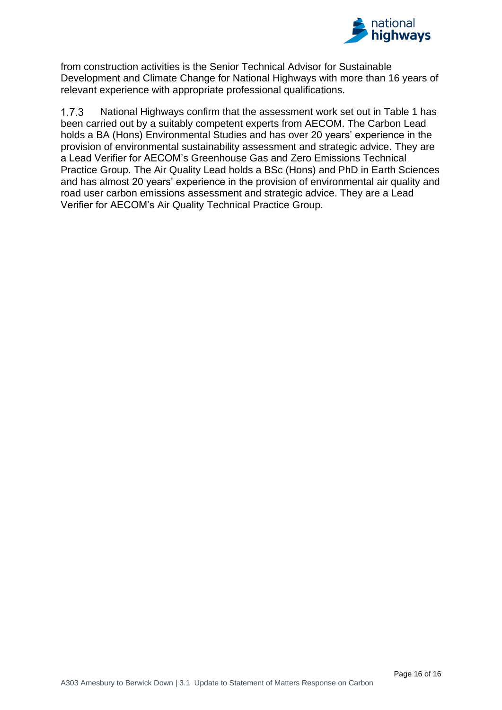

from construction activities is the Senior Technical Advisor for Sustainable Development and Climate Change for National Highways with more than 16 years of relevant experience with appropriate professional qualifications.

 $1.7.3$ National Highways confirm that the assessment work set out in Table 1 has been carried out by a suitably competent experts from AECOM. The Carbon Lead holds a BA (Hons) Environmental Studies and has over 20 years' experience in the provision of environmental sustainability assessment and strategic advice. They are a Lead Verifier for AECOM's Greenhouse Gas and Zero Emissions Technical Practice Group. The Air Quality Lead holds a BSc (Hons) and PhD in Earth Sciences and has almost 20 years' experience in the provision of environmental air quality and road user carbon emissions assessment and strategic advice. They are a Lead Verifier for AECOM's Air Quality Technical Practice Group.